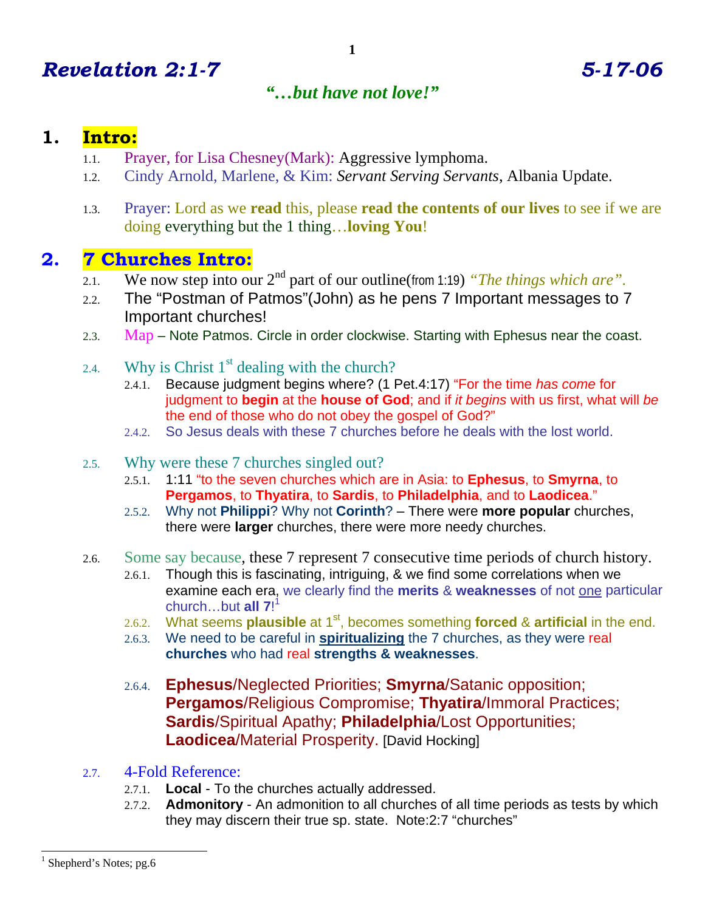### *"…but have not love!"*

## **1. Intro:**

- 1.1. Prayer, for Lisa Chesney(Mark): Aggressive lymphoma.
- 1.2. Cindy Arnold, Marlene, & Kim: *Servant Serving Servants*, Albania Update.
- 1.3. Prayer: Lord as we **read** this, please **read the contents of our lives** to see if we are doing everything but the 1 thing…**loving You**!

# **2. 7 Churches Intro:**

- 2.1. We now step into our  $2<sup>nd</sup>$  part of our outline(from 1:19) *"The things which are"*.
- 2.2. The "Postman of Patmos"(John) as he pens 7 Important messages to 7 Important churches!
- 2.3.  $\text{Map}$  Note Patmos. Circle in order clockwise. Starting with Ephesus near the coast.
- 2.4. Why is Christ  $1<sup>st</sup>$  dealing with the church?
	- 2.4.1. Because judgment begins where? (1 Pet.4:17) "For the time *has come* for judgment to **begin** at the **house of God**; and if *it begins* with us first, what will *be* the end of those who do not obey the gospel of God?"
	- 2.4.2. So Jesus deals with these 7 churches before he deals with the lost world.
- 2.5. Why were these 7 churches singled out?
	- 2.5.1. 1:11 "to the seven churches which are in Asia: to **Ephesus**, to **Smyrna**, to **Pergamos**, to **Thyatira**, to **Sardis**, to **Philadelphia**, and to **Laodicea**."
	- 2.5.2. Why not **Philippi**? Why not **Corinth**? There were **more popular** churches, there were **larger** churches, there were more needy churches.
- 2.6. Some say because, these 7 represent 7 consecutive time periods of church history.
	- 2.6.1. Though this is fascinating, intriguing, & we find some correlations when we examine each era, we clearly find the **merits** & **weaknesses** of not one particular church…but **all 7**! 1
	- 2.6.2. What seems **plausible** at 1<sup>st</sup>, becomes something **forced** & **artificial** in the end.
	- 2.6.3. We need to be careful in **spiritualizing** the 7 churches, as they were real **churches** who had real **strengths & weaknesses**.
	- 2.6.4. **Ephesus**/Neglected Priorities; **Smyrna**/Satanic opposition; **Pergamos**/Religious Compromise; **Thyatira**/Immoral Practices; **Sardis**/Spiritual Apathy; **Philadelphia**/Lost Opportunities; **Laodicea**/Material Prosperity. [David Hocking]
- 2.7. 4-Fold Reference:
	- 2.7.1. **Local** To the churches actually addressed.
	- 2.7.2. **Admonitory** An admonition to all churches of all time periods as tests by which they may discern their true sp. state. Note:2:7 "churches"

-

<sup>&</sup>lt;sup>1</sup> Shepherd's Notes; pg.6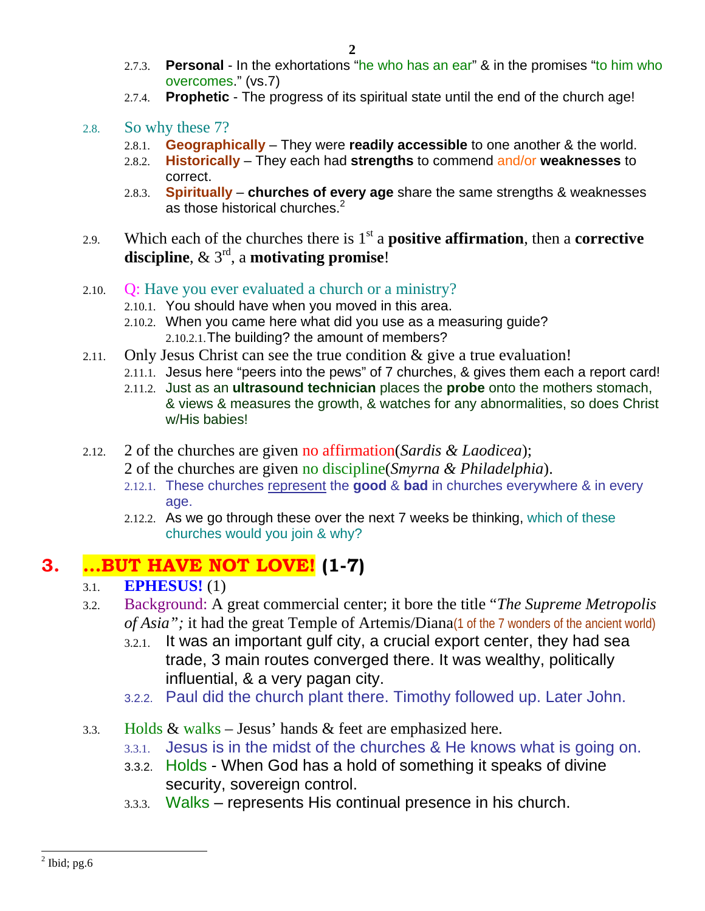- 2.7.3. **Personal** In the exhortations "he who has an ear" & in the promises "to him who overcomes." (vs.7)
- 2.7.4. **Prophetic** The progress of its spiritual state until the end of the church age!
- 2.8. So why these 7?
	- 2.8.1. **Geographically** They were **readily accessible** to one another & the world.
	- 2.8.2. **Historically** They each had **strengths** to commend and/or **weaknesses** to correct.
	- 2.8.3. **Spiritually churches of every age** share the same strengths & weaknesses as those historical churches. $<sup>2</sup>$ </sup>
- 2.9. Which each of the churches there is 1<sup>st</sup> a **positive affirmation**, then a **corrective discipline**, & 3rd, a **motivating promise**!
- 2.10. Q: Have you ever evaluated a church or a ministry?
	- 2.10.1. You should have when you moved in this area.
	- 2.10.2. When you came here what did you use as a measuring guide? 2.10.2.1.The building? the amount of members?
- 2.11. Only Jesus Christ can see the true condition & give a true evaluation!
	- 2.11.1. Jesus here "peers into the pews" of 7 churches, & gives them each a report card!
	- 2.11.2. Just as an **ultrasound technician** places the **probe** onto the mothers stomach, & views & measures the growth, & watches for any abnormalities, so does Christ w/His babies!
- 2.12. 2 of the churches are given no affirmation(*Sardis & Laodicea*);
	- 2 of the churches are given no discipline(*Smyrna & Philadelphia*).
	- 2.12.1. These churches represent the **good** & **bad** in churches everywhere & in every age.
	- 2.12.2. As we go through these over the next 7 weeks be thinking, which of these churches would you join & why?

# **3. …BUT HAVE NOT LOVE! (1-7)**

- 3.1. **EPHESUS!** (1)
- 3.2. Background: A great commercial center; it bore the title "*The Supreme Metropolis of Asia*"; it had the great Temple of Artemis/Diana(1 of the 7 wonders of the ancient world)
	- 3.2.1. It was an important gulf city, a crucial export center, they had sea trade, 3 main routes converged there. It was wealthy, politically influential, & a very pagan city.
	- 3.2.2. Paul did the church plant there. Timothy followed up. Later John.
- 3.3. Holds  $&$  walks Jesus' hands  $&$  feet are emphasized here.
	- 3.3.1. Jesus is in the midst of the churches & He knows what is going on.
	- 3.3.2. Holds When God has a hold of something it speaks of divine security, sovereign control.
	- 3.3.3. Walks represents His continual presence in his church.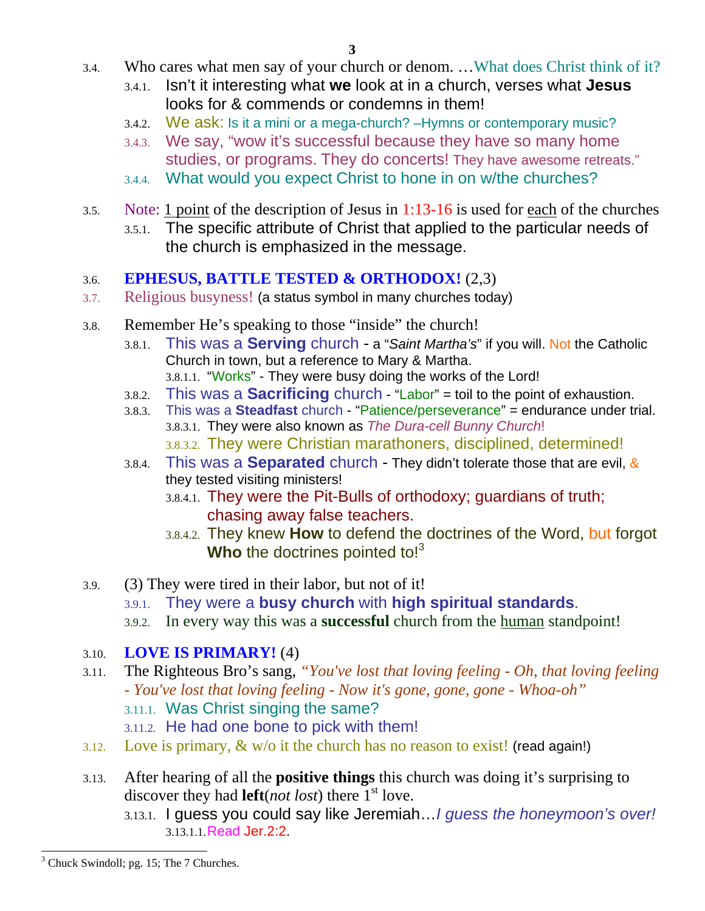- 3.4. Who cares what men say of your church or denom. …What does Christ think of it?
	- 3.4.1. Isn't it interesting what **we** look at in a church, verses what **Jesus** looks for & commends or condemns in them!
	- 3.4.2. We ask: Is it a mini or a mega-church? -Hymns or contemporary music?
	- 3.4.3. We say, "wow it's successful because they have so many home studies, or programs. They do concerts! They have awesome retreats."
	- 3.4.4. What would you expect Christ to hone in on w/the churches?
- 3.5. Note: 1 point of the description of Jesus in 1:13-16 is used for each of the churches 3.5.1. The specific attribute of Christ that applied to the particular needs of the church is emphasized in the message.

#### 3.6. **EPHESUS, BATTLE TESTED & ORTHODOX!** (2,3)

- 3.7. Religious busyness! (a status symbol in many churches today)
- 3.8. Remember He's speaking to those "inside" the church!
	- 3.8.1. This was a **Serving** church a "*Saint Martha's*" if you will. Not the Catholic Church in town, but a reference to Mary & Martha. 3.8.1.1. "Works" - They were busy doing the works of the Lord!
	- 3.8.2. This was a **Sacrificing** church "Labor" = toil to the point of exhaustion.
	- 3.8.3. This was a **Steadfast** church "Patience/perseverance" = endurance under trial. 3.8.3.1. They were also known as *The Dura-cell Bunny Church*! 3.8.3.2. They were Christian marathoners, disciplined, determined!
	- 3.8.4. This was a **Separated** church They didn't tolerate those that are evil, & they tested visiting ministers!
		- 3.8.4.1. They were the Pit-Bulls of orthodoxy; guardians of truth; chasing away false teachers.
		- 3.8.4.2. They knew **How** to defend the doctrines of the Word, but forgot **Who** the doctrines pointed to!<sup>3</sup>
- 3.9. (3) They were tired in their labor, but not of it!
	- 3.9.1. They were a **busy church** with **high spiritual standards**.
	- 3.9.2. In every way this was a **successful** church from the human standpoint!

## 3.10. **LOVE IS PRIMARY!** (4)

- 3.11. The Righteous Bro's sang, *"You've lost that loving feeling Oh, that loving feeling - You've lost that loving feeling - Now it's gone, gone, gone - Whoa-oh"*
	- 3.11.1. Was Christ singing the same?
	- 3.11.2. He had one bone to pick with them!
- 3.12. Love is primary,  $\&$  w/o it the church has no reason to exist! (read again!)
- 3.13. After hearing of all the **positive things** this church was doing it's surprising to discover they had **left**(*not lost*) there  $1<sup>st</sup>$  love.
	- 3.13.1. I guess you could say like Jeremiah…*I guess the honeymoon's over!* 3.13.1.1.Read Jer.2:2.

<sup>-</sup><sup>3</sup> Chuck Swindoll; pg. 15; The 7 Churches.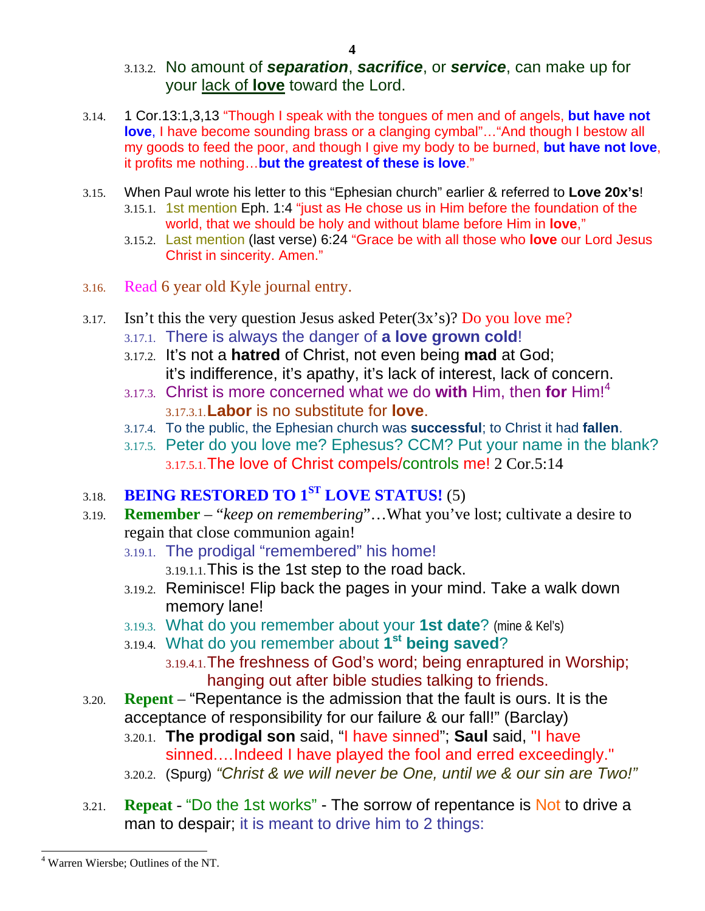- 3.13.2. No amount of *separation*, *sacrifice*, or *service*, can make up for your lack of **love** toward the Lord.
- 3.14. 1 Cor.13:1,3,13 "Though I speak with the tongues of men and of angels, **but have not love**, I have become sounding brass or a clanging cymbal"…"And though I bestow all my goods to feed the poor, and though I give my body to be burned, **but have not love**, it profits me nothing…**but the greatest of these is love**."
- 3.15. When Paul wrote his letter to this "Ephesian church" earlier & referred to **Love 20x's**! 3.15.1. 1st mention Eph. 1:4 "just as He chose us in Him before the foundation of the world, that we should be holy and without blame before Him in **love**,"
	- 3.15.2. Last mention (last verse) 6:24 "Grace be with all those who **love** our Lord Jesus Christ in sincerity. Amen."
- 3.16. Read 6 year old Kyle journal entry.
- 3.17. Isn't this the very question Jesus asked Peter $(3x's)$ ? Do you love me?
	- 3.17.1. There is always the danger of **a love grown cold**!
	- 3.17.2. It's not a **hatred** of Christ, not even being **mad** at God; it's indifference, it's apathy, it's lack of interest, lack of concern.
	- 3.17.3. Christ is more concerned what we do **with** Him, then **for** Him!<sup>4</sup> 3.17.3.1.**Labor** is no substitute for **love**.
	- 3.17.4. To the public, the Ephesian church was **successful**; to Christ it had **fallen**.
	- 3.17.5. Peter do you love me? Ephesus? CCM? Put your name in the blank? 3.17.5.1.The love of Christ compels/controls me! 2 Cor.5:14

# 3.18. **BEING RESTORED TO 1ST LOVE STATUS!** (5)

- 3.19. **Remember** "*keep on remembering*"…What you've lost; cultivate a desire to regain that close communion again!
	- 3.19.1. The prodigal "remembered" his home! 3.19.1.1.This is the 1st step to the road back.
	- 3.19.2. Reminisce! Flip back the pages in your mind. Take a walk down memory lane!
	- 3.19.3. What do you remember about your **1st date**? (mine & Kel's)
	- 3.19.4. What do you remember about **1st being saved**? 3.19.4.1.The freshness of God's word; being enraptured in Worship; hanging out after bible studies talking to friends.
- 3.20. **Repent** "Repentance is the admission that the fault is ours. It is the acceptance of responsibility for our failure & our fall!" (Barclay)
	- 3.20.1. **The prodigal son** said, "I have sinned"; **Saul** said, "I have sinned.…Indeed I have played the fool and erred exceedingly."
	- 3.20.2. (Spurg) *"Christ & we will never be One, until we & our sin are Two!"*
- 3.21. **Repeat** "Do the 1st works" The sorrow of repentance is Not to drive a man to despair; it is meant to drive him to 2 things:

<sup>-</sup>4 Warren Wiersbe; Outlines of the NT.